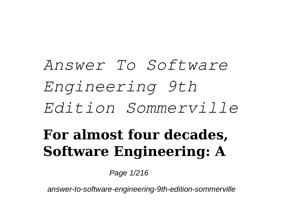## *Answer To Software Engineering 9th Edition Sommerville* **For almost four decades, Software Engineering: A**

Page 1/216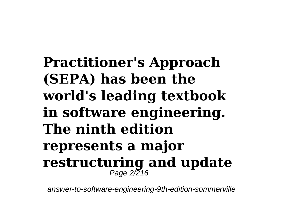**Practitioner's Approach (SEPA) has been the world's leading textbook in software engineering. The ninth edition represents a major** restructuring and update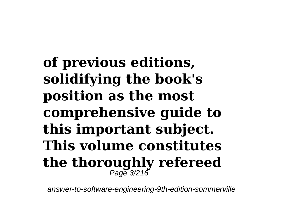**of previous editions, solidifying the book's position as the most comprehensive guide to this important subject. This volume constitutes the thoroughly refereed** Page 3/216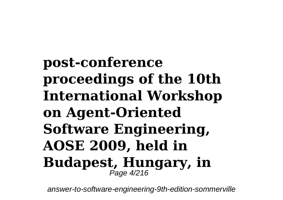**post-conference proceedings of the 10th International Workshop on Agent-Oriented Software Engineering, AOSE 2009, held in Budapest, Hungary, in** Page 4/216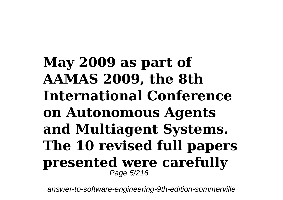**May 2009 as part of AAMAS 2009, the 8th International Conference on Autonomous Agents and Multiagent Systems. The 10 revised full papers presented were carefully** Page 5/216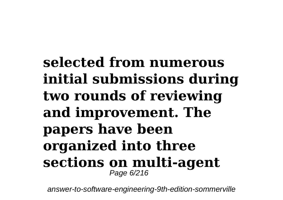**selected from numerous initial submissions during two rounds of reviewing and improvement. The papers have been organized into three sections on multi-agent** Page 6/216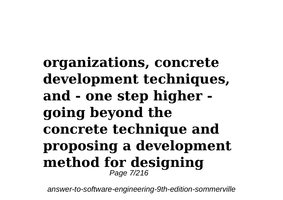**organizations, concrete development techniques, and - one step higher going beyond the concrete technique and proposing a development method for designing** Page 7/216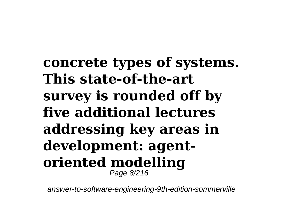**concrete types of systems. This state-of-the-art survey is rounded off by five additional lectures addressing key areas in development: agentoriented modelling** Page 8/216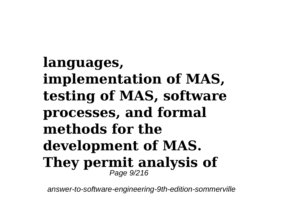**languages, implementation of MAS, testing of MAS, software processes, and formal methods for the development of MAS. They permit analysis of** Page 9/216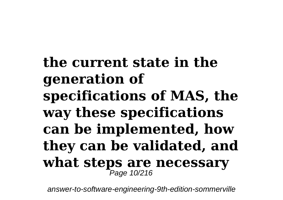**the current state in the generation of specifications of MAS, the way these specifications can be implemented, how they can be validated, and what steps are necessary** Page 10/216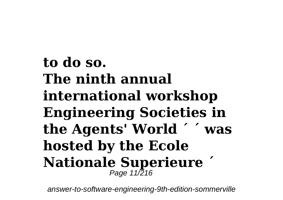**to do so. The ninth annual international workshop Engineering Societies in the Agents' World ´ ´ was hosted by the Ecole Nationale Superieure ´** Page 11/216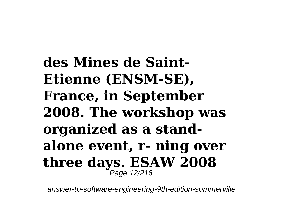**des Mines de Saint-Etienne (ENSM-SE), France, in September 2008. The workshop was organized as a standalone event, r- ning over three days. ESAW 2008** Page 12/216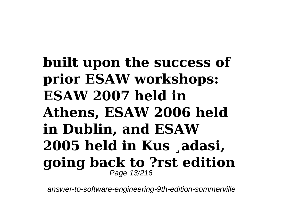## **built upon the success of prior ESAW workshops: ESAW 2007 held in Athens, ESAW 2006 held in Dublin, and ESAW 2005 held in Kus ¸adasi, going back to ?rst edition** Page 13/216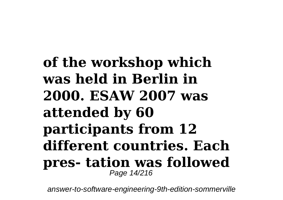**of the workshop which was held in Berlin in 2000. ESAW 2007 was attended by 60 participants from 12 different countries. Each pres- tation was followed** Page 14/216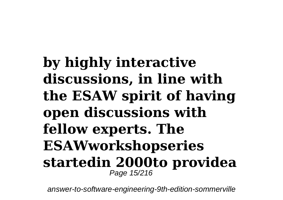**by highly interactive discussions, in line with the ESAW spirit of having open discussions with fellow experts. The ESAWworkshopseries startedin 2000to providea** Page 15/216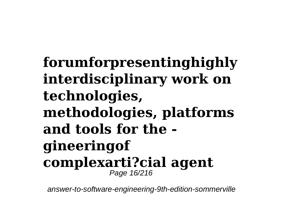**forumforpresentinghighly interdisciplinary work on technologies, methodologies, platforms and tools for the gineeringof complexarti?cial agent** Page 16/216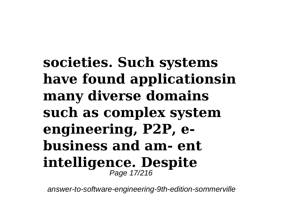**societies. Such systems have found applicationsin many diverse domains such as complex system engineering, P2P, ebusiness and am- ent intelligence. Despite** Page 17/216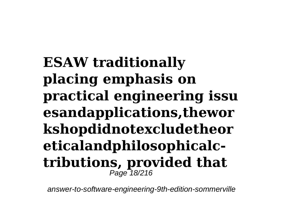**ESAW traditionally placing emphasis on practical engineering issu esandapplications,thewor kshopdidnotexcludetheor eticalandphilosophicalctributions, provided that** Page 18/216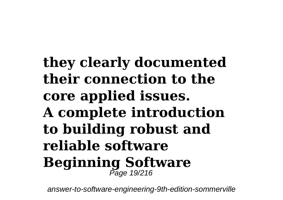**they clearly documented their connection to the core applied issues. A complete introduction to building robust and reliable software Beginning Software** Page 19/216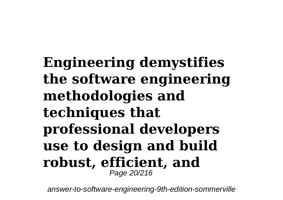**Engineering demystifies the software engineering methodologies and techniques that professional developers use to design and build robust, efficient, and** Page 20/216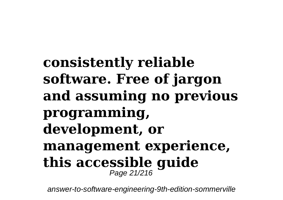**consistently reliable software. Free of jargon and assuming no previous programming, development, or management experience, this accessible guide** Page 21/216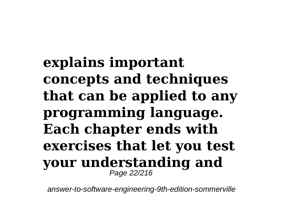**explains important concepts and techniques that can be applied to any programming language. Each chapter ends with exercises that let you test your understanding and** Page 22/216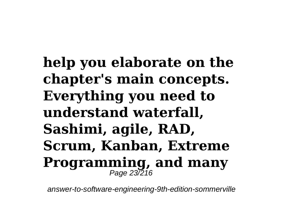**help you elaborate on the chapter's main concepts. Everything you need to understand waterfall, Sashimi, agile, RAD, Scrum, Kanban, Extreme Programming, and many** Page 23/216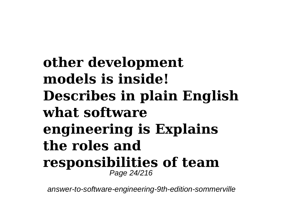**other development models is inside! Describes in plain English what software engineering is Explains the roles and responsibilities of team** Page 24/216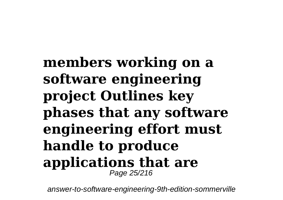**members working on a software engineering project Outlines key phases that any software engineering effort must handle to produce applications that are** Page 25/216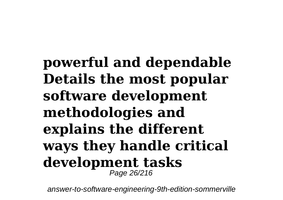**powerful and dependable Details the most popular software development methodologies and explains the different ways they handle critical development tasks** Page 26/216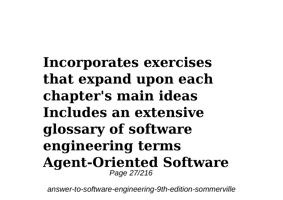**Incorporates exercises that expand upon each chapter's main ideas Includes an extensive glossary of software engineering terms Agent-Oriented Software** Page 27/216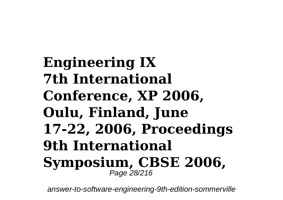**Engineering IX 7th International Conference, XP 2006, Oulu, Finland, June 17-22, 2006, Proceedings 9th International Symposium, CBSE 2006,** Page 28/216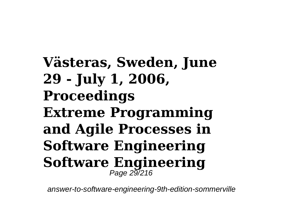**Västeras, Sweden, June 29 - July 1, 2006, Proceedings Extreme Programming and Agile Processes in Software Engineering Software Engineering** Page 29/216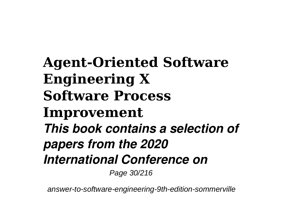**Agent-Oriented Software Engineering X Software Process Improvement** *This book contains a selection of papers from the 2020 International Conference on*

Page 30/216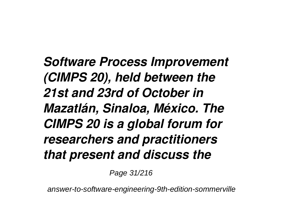*Software Process Improvement (CIMPS 20), held between the 21st and 23rd of October in Mazatlán, Sinaloa, México. The CIMPS 20 is a global forum for researchers and practitioners that present and discuss the*

Page 31/216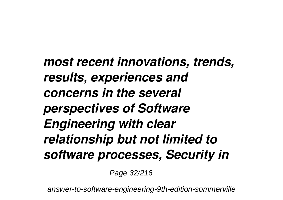*most recent innovations, trends, results, experiences and concerns in the several perspectives of Software Engineering with clear relationship but not limited to software processes, Security in*

Page 32/216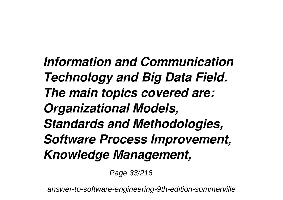*Information and Communication Technology and Big Data Field. The main topics covered are: Organizational Models, Standards and Methodologies, Software Process Improvement, Knowledge Management,*

Page 33/216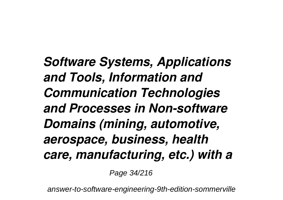*Software Systems, Applications and Tools, Information and Communication Technologies and Processes in Non-software Domains (mining, automotive, aerospace, business, health care, manufacturing, etc.) with a*

Page 34/216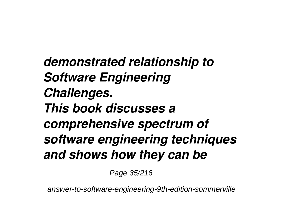*demonstrated relationship to Software Engineering Challenges. This book discusses a comprehensive spectrum of software engineering techniques and shows how they can be*

Page 35/216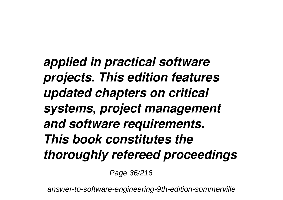*applied in practical software projects. This edition features updated chapters on critical systems, project management and software requirements. This book constitutes the thoroughly refereed proceedings*

Page 36/216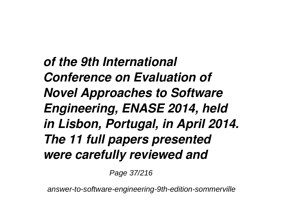*of the 9th International Conference on Evaluation of Novel Approaches to Software Engineering, ENASE 2014, held in Lisbon, Portugal, in April 2014. The 11 full papers presented were carefully reviewed and*

Page 37/216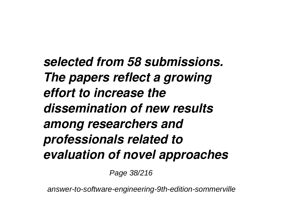*selected from 58 submissions. The papers reflect a growing effort to increase the dissemination of new results among researchers and professionals related to evaluation of novel approaches*

Page 38/216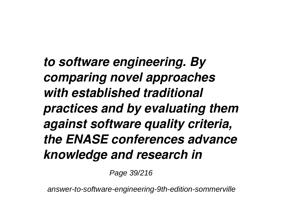*to software engineering. By comparing novel approaches with established traditional practices and by evaluating them against software quality criteria, the ENASE conferences advance knowledge and research in*

Page 39/216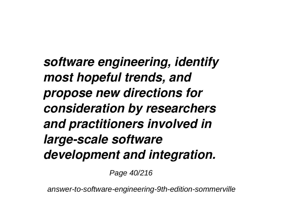*software engineering, identify most hopeful trends, and propose new directions for consideration by researchers and practitioners involved in large-scale software development and integration.*

Page 40/216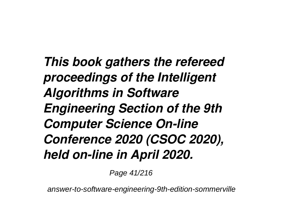*This book gathers the refereed proceedings of the Intelligent Algorithms in Software Engineering Section of the 9th Computer Science On-line Conference 2020 (CSOC 2020), held on-line in April 2020.*

Page 41/216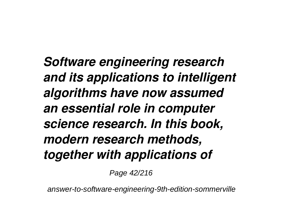*Software engineering research and its applications to intelligent algorithms have now assumed an essential role in computer science research. In this book, modern research methods, together with applications of*

Page 42/216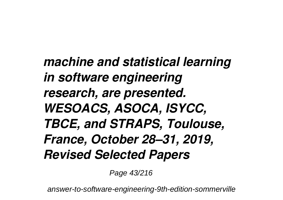*machine and statistical learning in software engineering research, are presented. WESOACS, ASOCA, ISYCC, TBCE, and STRAPS, Toulouse, France, October 28–31, 2019, Revised Selected Papers*

Page 43/216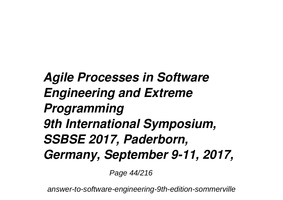*Agile Processes in Software Engineering and Extreme Programming 9th International Symposium, SSBSE 2017, Paderborn, Germany, September 9-11, 2017,*

Page 44/216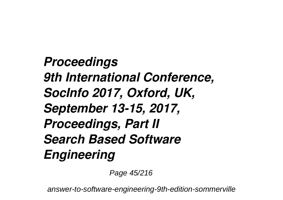*Proceedings 9th International Conference, SocInfo 2017, Oxford, UK, September 13-15, 2017, Proceedings, Part II Search Based Software Engineering*

Page 45/216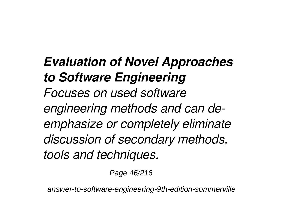*Evaluation of Novel Approaches to Software Engineering Focuses on used software engineering methods and can deemphasize or completely eliminate discussion of secondary methods, tools and techniques.*

Page 46/216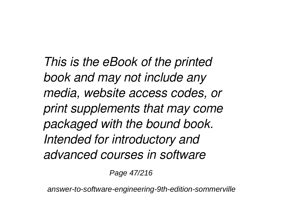*This is the eBook of the printed book and may not include any media, website access codes, or print supplements that may come packaged with the bound book. Intended for introductory and advanced courses in software*

Page 47/216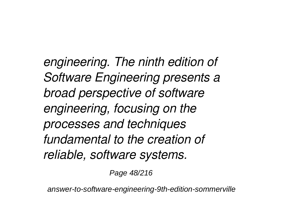*engineering. The ninth edition of Software Engineering presents a broad perspective of software engineering, focusing on the processes and techniques fundamental to the creation of reliable, software systems.*

Page 48/216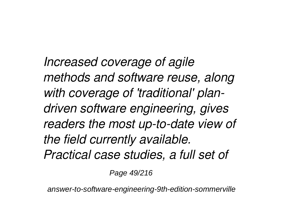*Increased coverage of agile methods and software reuse, along with coverage of 'traditional' plandriven software engineering, gives readers the most up-to-date view of the field currently available. Practical case studies, a full set of*

Page 49/216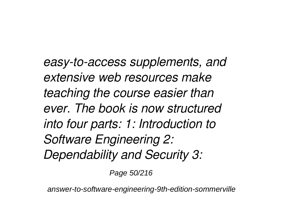*easy-to-access supplements, and extensive web resources make teaching the course easier than ever. The book is now structured into four parts: 1: Introduction to Software Engineering 2: Dependability and Security 3:*

Page 50/216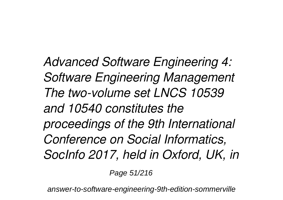*Advanced Software Engineering 4: Software Engineering Management The two-volume set LNCS 10539 and 10540 constitutes the proceedings of the 9th International Conference on Social Informatics, SocInfo 2017, held in Oxford, UK, in*

Page 51/216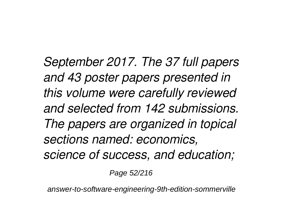*September 2017. The 37 full papers and 43 poster papers presented in this volume were carefully reviewed and selected from 142 submissions. The papers are organized in topical sections named: economics, science of success, and education;*

Page 52/216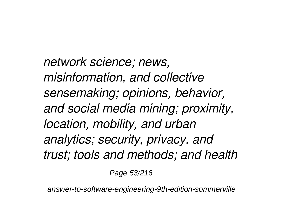*network science; news, misinformation, and collective sensemaking; opinions, behavior, and social media mining; proximity, location, mobility, and urban analytics; security, privacy, and trust; tools and methods; and health*

Page 53/216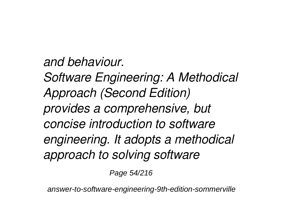*and behaviour. Software Engineering: A Methodical Approach (Second Edition) provides a comprehensive, but concise introduction to software engineering. It adopts a methodical approach to solving software*

Page 54/216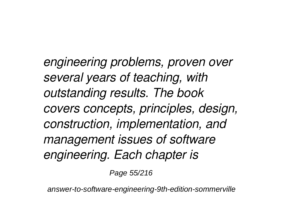*engineering problems, proven over several years of teaching, with outstanding results. The book covers concepts, principles, design, construction, implementation, and management issues of software engineering. Each chapter is*

Page 55/216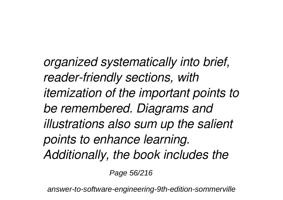*organized systematically into brief, reader-friendly sections, with itemization of the important points to be remembered. Diagrams and illustrations also sum up the salient points to enhance learning. Additionally, the book includes the*

Page 56/216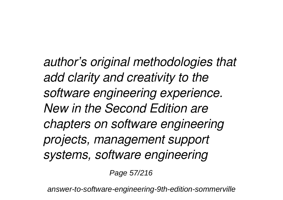*author's original methodologies that add clarity and creativity to the software engineering experience. New in the Second Edition are chapters on software engineering projects, management support systems, software engineering*

Page 57/216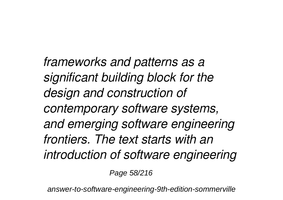*frameworks and patterns as a significant building block for the design and construction of contemporary software systems, and emerging software engineering frontiers. The text starts with an introduction of software engineering*

Page 58/216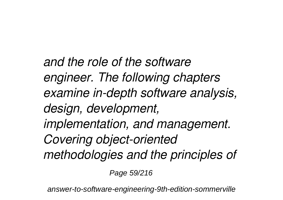*and the role of the software engineer. The following chapters examine in-depth software analysis, design, development, implementation, and management. Covering object-oriented methodologies and the principles of*

Page 59/216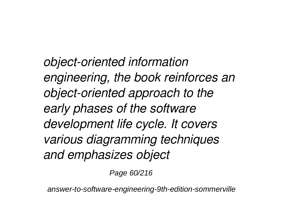*object-oriented information engineering, the book reinforces an object-oriented approach to the early phases of the software development life cycle. It covers various diagramming techniques and emphasizes object*

Page 60/216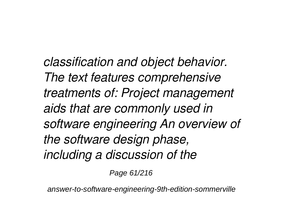*classification and object behavior. The text features comprehensive treatments of: Project management aids that are commonly used in software engineering An overview of the software design phase, including a discussion of the*

Page 61/216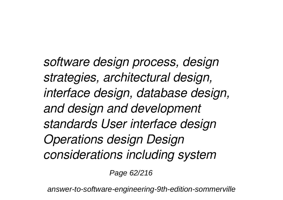*software design process, design strategies, architectural design, interface design, database design, and design and development standards User interface design Operations design Design considerations including system*

Page 62/216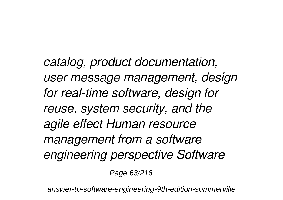*catalog, product documentation, user message management, design for real-time software, design for reuse, system security, and the agile effect Human resource management from a software engineering perspective Software*

Page 63/216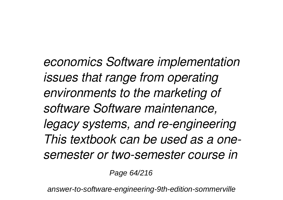*economics Software implementation issues that range from operating environments to the marketing of software Software maintenance, legacy systems, and re-engineering This textbook can be used as a onesemester or two-semester course in*

Page 64/216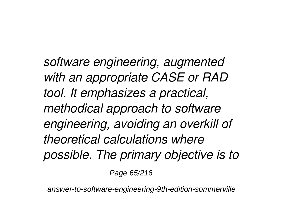*software engineering, augmented with an appropriate CASE or RAD tool. It emphasizes a practical, methodical approach to software engineering, avoiding an overkill of theoretical calculations where possible. The primary objective is to*

Page 65/216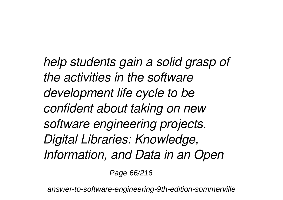*help students gain a solid grasp of the activities in the software development life cycle to be confident about taking on new software engineering projects. Digital Libraries: Knowledge, Information, and Data in an Open*

Page 66/216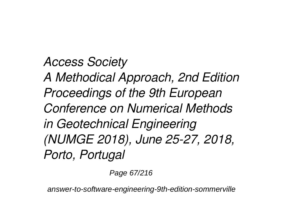*Access Society A Methodical Approach, 2nd Edition Proceedings of the 9th European Conference on Numerical Methods in Geotechnical Engineering (NUMGE 2018), June 25-27, 2018, Porto, Portugal*

Page 67/216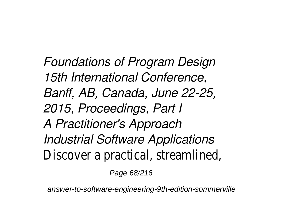*Foundations of Program Design 15th International Conference, Banff, AB, Canada, June 22-25, 2015, Proceedings, Part I A Practitioner's Approach Industrial Software Applications* Discover a practical, streamlined,

Page 68/216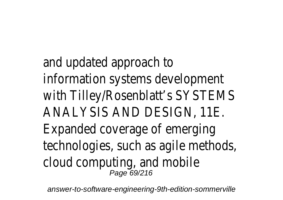and updated approach to information systems development with Tilley/Rosenblatt's SYSTEMS ANALYSIS AND DESIGN, 11E. Expanded coverage of emerging technologies, such as agile methods, cloud computing, and mobile<br><sup>Page 69/216</sup>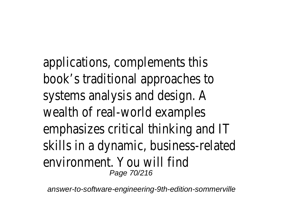applications, complements this book's traditional approaches to systems analysis and design. A wealth of real-world examples emphasizes critical thinking and IT skills in a dynamic, business-related environment. You will find Page 70/216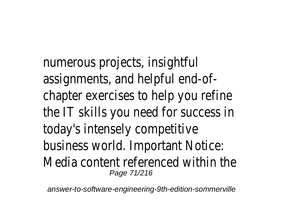numerous projects, insightful assignments, and helpful end-ofchapter exercises to help you refine the IT skills you need for success in today's intensely competitive business world. Important Notice: Media content referenced within the Page 71/216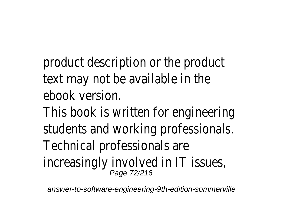product description or the product text may not be available in the ebook version.

This book is written for engineering students and working professionals. Technical professionals are increasingly involved in IT issues,<br>
<sub>Page 72/216</sub>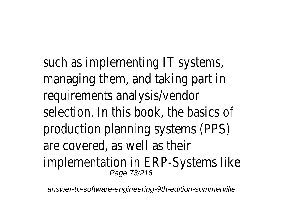such as implementing IT systems, managing them, and taking part in requirements analysis/vendor selection. In this book, the basics of production planning systems (PPS) are covered, as well as their implementation in ERP-Systems like Page 73/216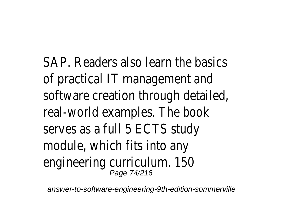SAP. Readers also learn the basics of practical IT management and software creation through detailed, real-world examples. The book serves as a full 5 ECTS study module, which fits into any engineering curriculum. 150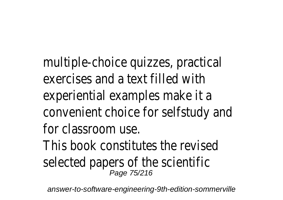multiple-choice quizzes, practical exercises and a text filled with experiential examples make it a convenient choice for selfstudy and for classroom use. This book constitutes the revised selected papers of the scientific<br><sup>Page 75/216</sup>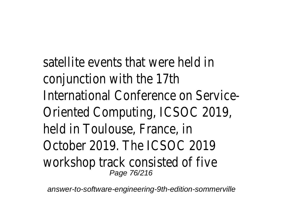satellite events that were held in conjunction with the 17th International Conference on Service-Oriented Computing, ICSOC 2019, held in Toulouse, France, in October 2019. The ICSOC 2019 workshop track consisted of five<br>Page 76/216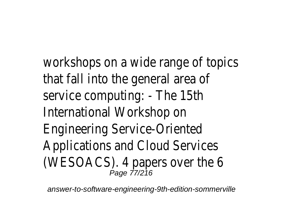workshops on a wide range of topics that fall into the general area of service computing: - The 15th International Workshop on Engineering Service-Oriented Applications and Cloud Services (WESOACS). 4 papers over the 6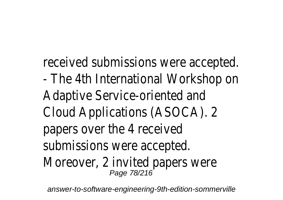received submissions were accepted. - The 4th International Workshop on Adaptive Service-oriented and Cloud Applications (ASOCA). 2 papers over the 4 received submissions were accepted. Moreover, 2 invited papers were Page 78/216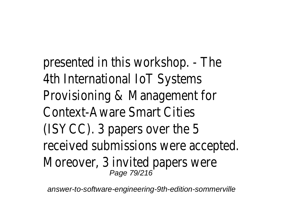presented in this workshop. - The 4th International IoT Systems Provisioning & Management for Context-Aware Smart Cities (ISYCC). 3 papers over the 5 received submissions were accepted. Moreover, 3 invited papers were Page 79/216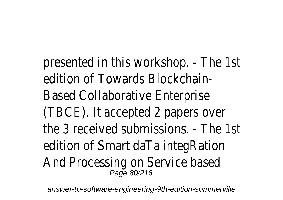presented in this workshop. - The 1st edition of Towards Blockchain-Based Collaborative Enterprise (TBCE). It accepted 2 papers over the 3 received submissions. - The 1st edition of Smart daTa integRation And Processing on Service based<br><sup>Page 80/216</sup>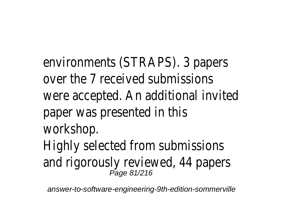environments (STRAPS). 3 papers over the 7 received submissions were accepted. An additional invited paper was presented in this workshop. Highly selected from submissions and rigorously reviewed, 44 papers<br><sup>Page 81/216</sup>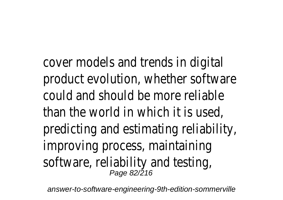cover models and trends in digital product evolution, whether software could and should be more reliable than the world in which it is used, predicting and estimating reliability, improving process, maintaining software, reliability and testing, Page 82/216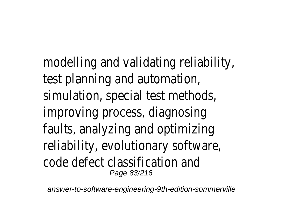modelling and validating reliability, test planning and automation, simulation, special test methods, improving process, diagnosing faults, analyzing and optimizing reliability, evolutionary software, code defect classification and Page 83/216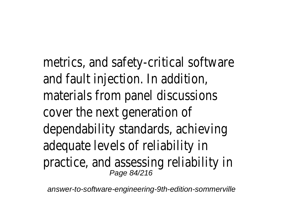metrics, and safety-critical software and fault injection. In addition, materials from panel discussions cover the next generation of dependability standards, achieving adequate levels of reliability in practice, and assessing reliability in Page 84/216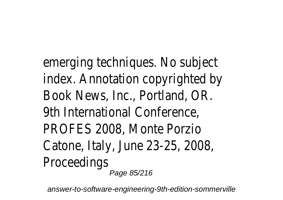emerging techniques. No subject index. Annotation copyrighted by Book News, Inc., Portland, OR. 9th International Conference, PROFES 2008, Monte Porzio Catone, Italy, June 23-25, 2008, Proceedings Page 85/216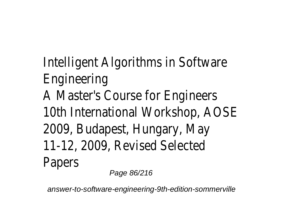## Intelligent Algorithms in Software Engineering A Master's Course for Engineers 10th International Workshop, AOSE 2009, Budapest, Hungary, May 11-12, 2009, Revised Selected Papers Page 86/216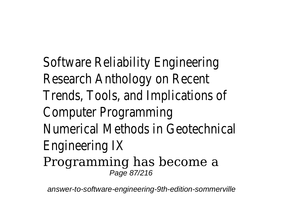Software Reliability Engineering Research Anthology on Recent Trends, Tools, and Implications of Computer Programming Numerical Methods in Geotechnical Engineering IX Programming has become a Page 87/216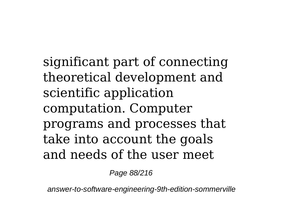significant part of connecting theoretical development and scientific application computation. Computer programs and processes that take into account the goals and needs of the user meet

Page 88/216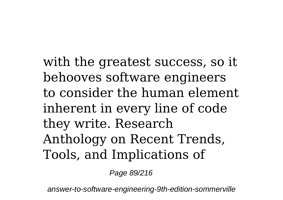with the greatest success, so it behooves software engineers to consider the human element inherent in every line of code they write. Research Anthology on Recent Trends, Tools, and Implications of

Page 89/216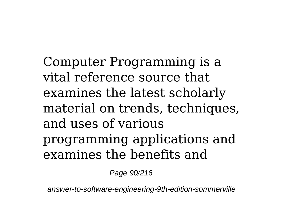Computer Programming is a vital reference source that examines the latest scholarly material on trends, techniques, and uses of various programming applications and examines the benefits and

Page 90/216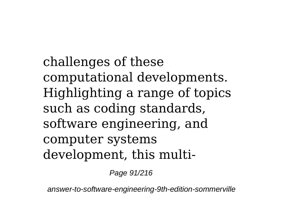challenges of these computational developments. Highlighting a range of topics such as coding standards, software engineering, and computer systems development, this multi-

Page 91/216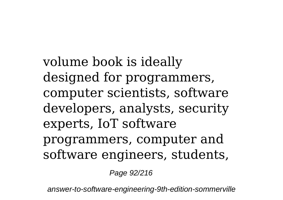volume book is ideally designed for programmers, computer scientists, software developers, analysts, security experts, IoT software programmers, computer and software engineers, students,

Page 92/216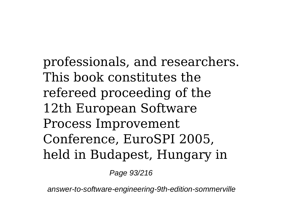professionals, and researchers. This book constitutes the refereed proceeding of the 12th European Software Process Improvement Conference, EuroSPI 2005, held in Budapest, Hungary in

Page 93/216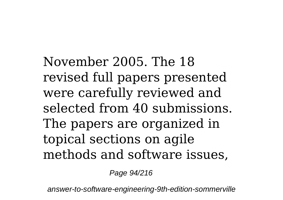November 2005. The 18 revised full papers presented were carefully reviewed and selected from 40 submissions. The papers are organized in topical sections on agile methods and software issues,

Page 94/216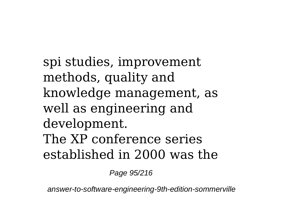spi studies, improvement methods, quality and knowledge management, as well as engineering and development. The XP conference series established in 2000 was the

Page 95/216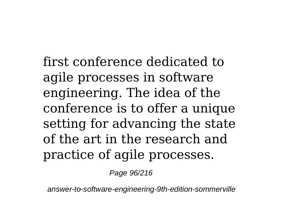first conference dedicated to agile processes in software engineering. The idea of the conference is to offer a unique setting for advancing the state of the art in the research and practice of agile processes.

Page 96/216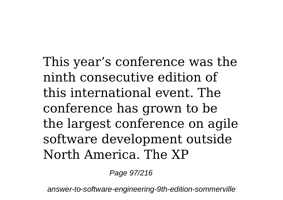This year's conference was the ninth consecutive edition of this international event. The conference has grown to be the largest conference on agile software development outside North America. The XP

Page 97/216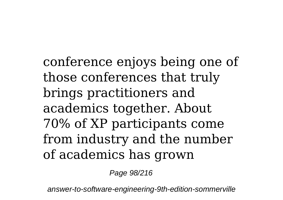conference enjoys being one of those conferences that truly brings practitioners and academics together. About 70% of XP participants come from industry and the number of academics has grown

Page 98/216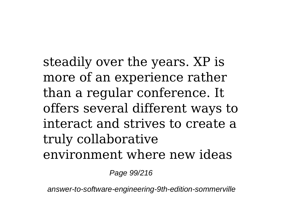steadily over the years. XP is more of an experience rather than a regular conference. It offers several different ways to interact and strives to create a truly collaborative environment where new ideas

Page 99/216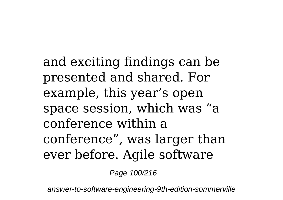and exciting findings can be presented and shared. For example, this year's open space session, which was "a conference within a conference", was larger than ever before. Agile software

Page 100/216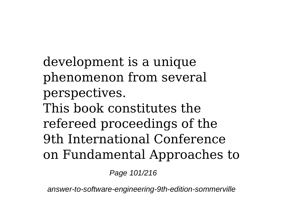development is a unique phenomenon from several perspectives. This book constitutes the refereed proceedings of the 9th International Conference on Fundamental Approaches to

Page 101/216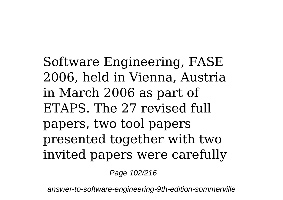Software Engineering, FASE 2006, held in Vienna, Austria in March 2006 as part of ETAPS. The 27 revised full papers, two tool papers presented together with two invited papers were carefully

Page 102/216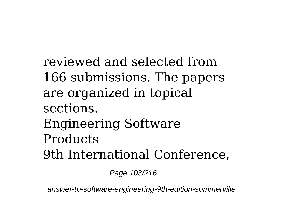reviewed and selected from 166 submissions. The papers are organized in topical sections. Engineering Software **Products** 9th International Conference,

Page 103/216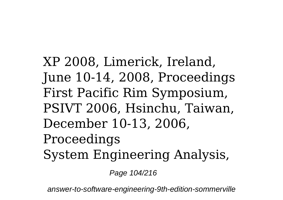XP 2008, Limerick, Ireland, June 10-14, 2008, Proceedings First Pacific Rim Symposium, PSIVT 2006, Hsinchu, Taiwan, December 10-13, 2006, Proceedings System Engineering Analysis,

Page 104/216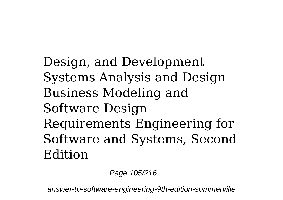Design, and Development Systems Analysis and Design Business Modeling and Software Design Requirements Engineering for Software and Systems, Second Edition

Page 105/216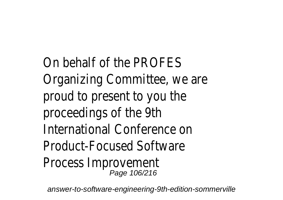On behalf of the PROFES Organizing Committee, we are proud to present to you the proceedings of the 9th International Conference on Product-Focused Software Process Improvement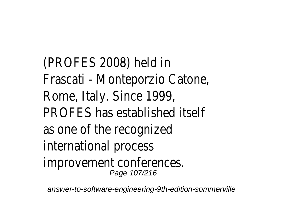(PROFES 2008) held in Frascati - Monteporzio Catone, Rome, Italy. Since 1999, PROFES has established itself as one of the recognized international process improvement conferences. Page 107/216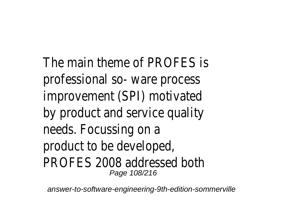The main theme of PROFES is professional so- ware process improvement (SPI) motivated by product and service quality needs. Focussing on a product to be developed, PROFES 2008 addressed both Page 108/216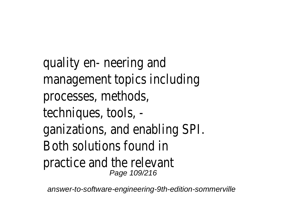quality en- neering and management topics including processes, methods, techniques, tools, ganizations, and enabling SPI. Both solutions found in practice and the relevant Page 109/216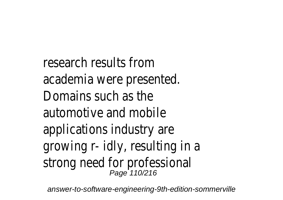research results from academia were presented. Domains such as the automotive and mobile applications industry are growing r- idly, resulting in a strong need for professional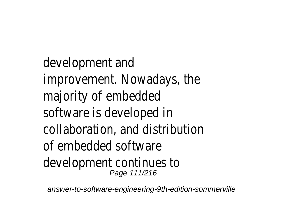development and improvement. Nowadays, the majority of embedded software is developed in collaboration, and distribution of embedded software development continues to Page 111/216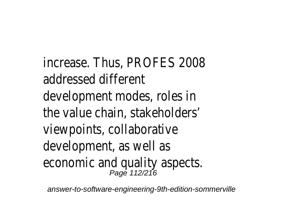increase. Thus, PROFES 2008 addressed different development modes, roles in the value chain, stakeholders' viewpoints, collaborative development, as well as economic and quality aspects.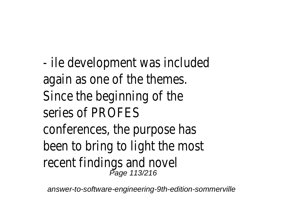- ile development was included again as one of the themes. Since the beginning of the series of PROFES conferences, the purpose has been to bring to light the most recent findings and novel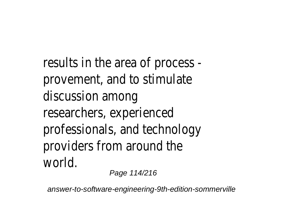results in the area of process provement, and to stimulate discussion among researchers, experienced professionals, and technology providers from around the world.

Page 114/216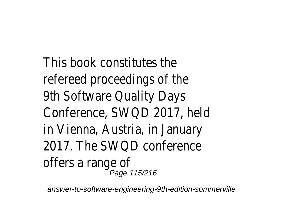This book constitutes the refereed proceedings of the 9th Software Quality Days Conference, SWQD 2017, held in Vienna, Austria, in January 2017. The SWQD conference offers a range of<br><sup>Page 115/216</sup>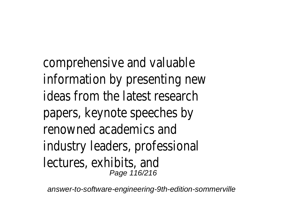comprehensive and valuable information by presenting new ideas from the latest research papers, keynote speeches by renowned academics and industry leaders, professional lectures, exhibits, and Page 116/216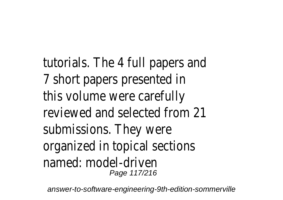tutorials. The 4 full papers and 7 short papers presented in this volume were carefully reviewed and selected from 21 submissions. They were organized in topical sections named: model-driven Page 117/216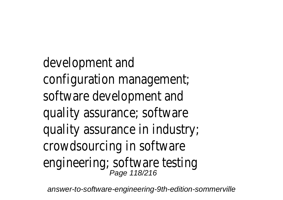development and configuration management; software development and quality assurance; software quality assurance in industry; crowdsourcing in software engineering; software testing<br>Page 118/216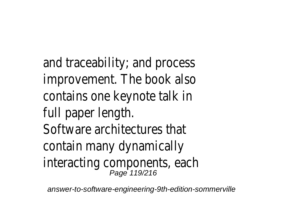and traceability; and process improvement. The book also contains one keynote talk in full paper length. Software architectures that contain many dynamically interacting components, each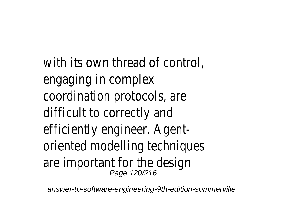with its own thread of control, engaging in complex coordination protocols, are difficult to correctly and efficiently engineer. Agentoriented modelling techniques are important for the design Page 120/216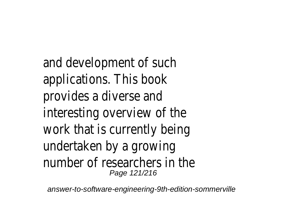and development of such applications. This book provides a diverse and interesting overview of the work that is currently being undertaken by a growing number of researchers in the Page 121/216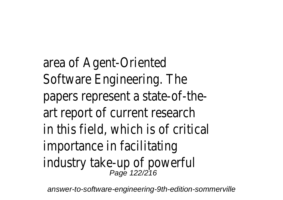area of Agent-Oriented Software Engineering. The papers represent a state-of-theart report of current research in this field, which is of critical importance in facilitating industry take-up of powerful<br><sup>Page 122/216</sup>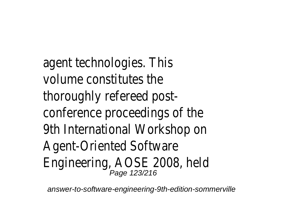agent technologies. This volume constitutes the thoroughly refereed postconference proceedings of the 9th International Workshop on Agent-Oriented Software Engineering, AOSE 2008, held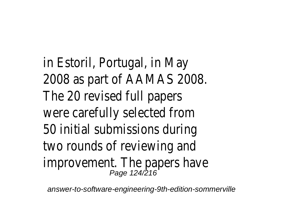in Estoril, Portugal, in May 2008 as part of AAMAS 2008. The 20 revised full papers were carefully selected from 50 initial submissions during two rounds of reviewing and improvement. The papers have Page 124/216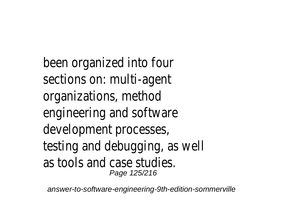been organized into four sections on: multi-agent organizations, method engineering and software development processes, testing and debugging, as well as tools and case studies. Page 125/216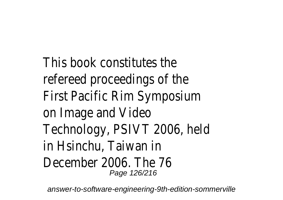This book constitutes the refereed proceedings of the First Pacific Rim Symposium on Image and Video Technology, PSIVT 2006, held in Hsinchu, Taiwan in December 2006. The 76 Page 126/216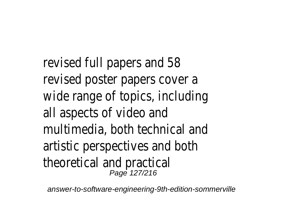revised full papers and 58 revised poster papers cover a wide range of topics, including all aspects of video and multimedia, both technical and artistic perspectives and both theoretical and practical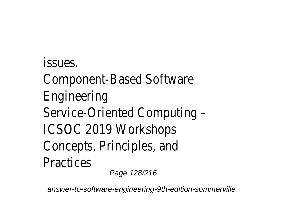issues. Component-Based Software Engineering Service-Oriented Computing – ICSOC 2019 Workshops Concepts, Principles, and **Practices** Page 128/216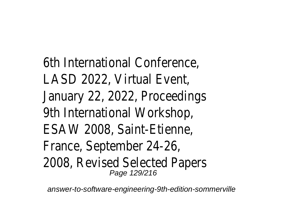6th International Conference, LASD 2022, Virtual Event, January 22, 2022, Proceedings 9th International Workshop, ESAW 2008, Saint-Etienne, France, September 24-26, 2008, Revised Selected Papers Page 129/216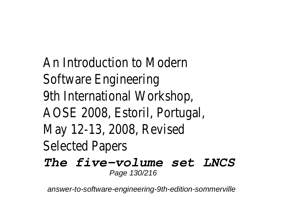An Introduction to Modern Software Engineering 9th International Workshop, AOSE 2008, Estoril, Portugal, May 12-13, 2008, Revised Selected Papers *The five-volume set LNCS*

Page 130/216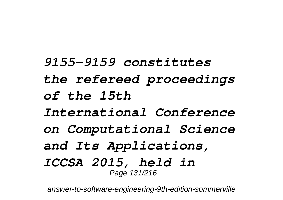*9155-9159 constitutes the refereed proceedings of the 15th International Conference on Computational Science and Its Applications, ICCSA 2015, held in* Page 131/216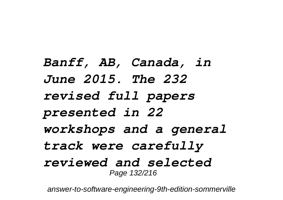*Banff, AB, Canada, in June 2015. The 232 revised full papers presented in 22 workshops and a general track were carefully reviewed and selected* Page 132/216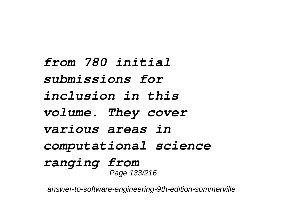*from 780 initial submissions for inclusion in this volume. They cover various areas in computational science ranging from* Page 133/216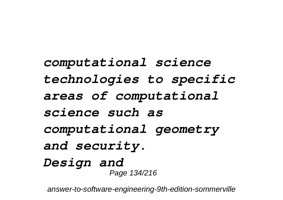*computational science technologies to specific areas of computational science such as computational geometry and security. Design and* Page 134/216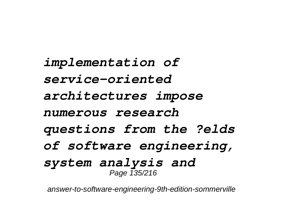*implementation of service-oriented architectures impose numerous research questions from the ?elds of software engineering, system analysis and* Page 135/216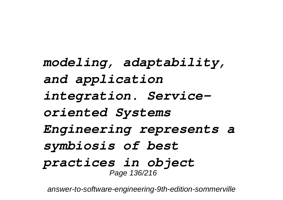*modeling, adaptability, and application integration. Serviceoriented Systems Engineering represents a symbiosis of best practices in object* Page 136/216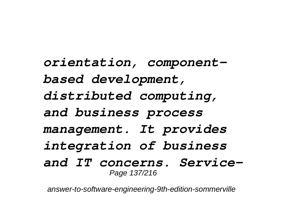*orientation, componentbased development, distributed computing, and business process management. It provides integration of business and IT concerns. Service-*Page 137/216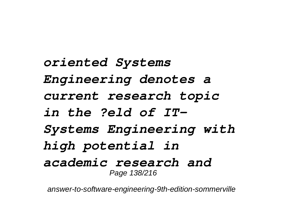*oriented Systems Engineering denotes a current research topic in the ?eld of IT-Systems Engineering with high potential in academic research and* Page 138/216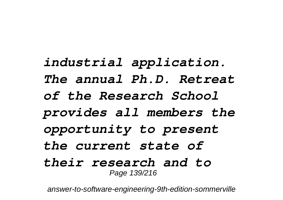*industrial application. The annual Ph.D. Retreat of the Research School provides all members the opportunity to present the current state of their research and to* Page 139/216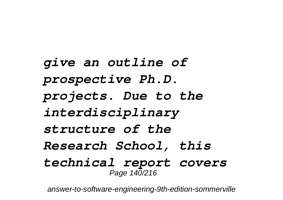*give an outline of prospective Ph.D. projects. Due to the interdisciplinary structure of the Research School, this technical report covers* Page 140/216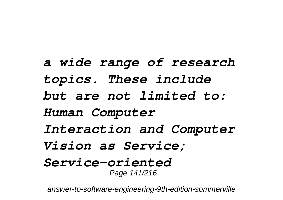*a wide range of research topics. These include but are not limited to: Human Computer Interaction and Computer Vision as Service; Service-oriented* Page 141/216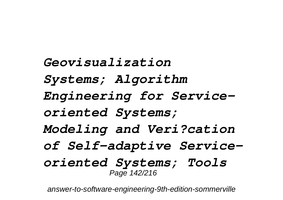*Geovisualization Systems; Algorithm Engineering for Serviceoriented Systems; Modeling and Veri?cation of Self-adaptive Serviceoriented Systems; Tools* Page 142/216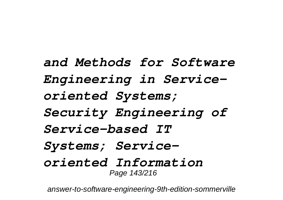*and Methods for Software Engineering in Serviceoriented Systems; Security Engineering of Service-based IT Systems; Serviceoriented Information* Page 143/216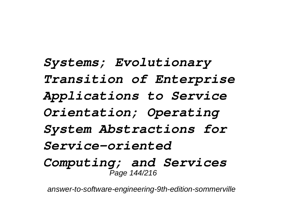*Systems; Evolutionary Transition of Enterprise Applications to Service Orientation; Operating System Abstractions for Service-oriented Computing; and Services* Page 144/216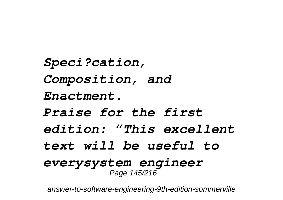*Speci?cation, Composition, and Enactment. Praise for the first edition: "This excellent text will be useful to everysystem engineer* Page 145/216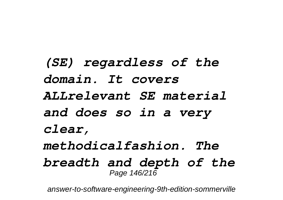*(SE) regardless of the domain. It covers ALLrelevant SE material and does so in a very clear, methodicalfashion. The breadth and depth of the* Page 146/216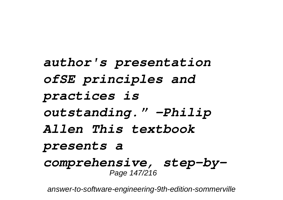*author's presentation ofSE principles and practices is outstanding." –Philip Allen This textbook presents a comprehensive, step-by-*Page 147/216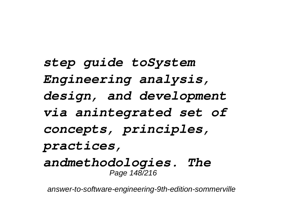*step guide toSystem Engineering analysis, design, and development via anintegrated set of concepts, principles, practices, andmethodologies. The* Page 148/216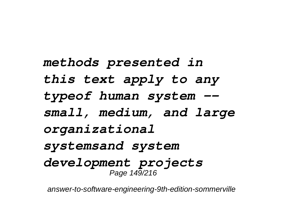*methods presented in this text apply to any typeof human system - small, medium, and large organizational systemsand system development projects* Page 149/216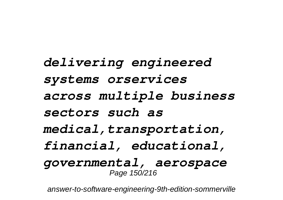*delivering engineered systems orservices across multiple business sectors such as medical,transportation, financial, educational, governmental, aerospace* Page 150/216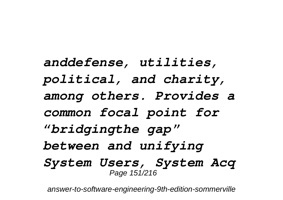*anddefense, utilities, political, and charity, among others. Provides a common focal point for "bridgingthe gap" between and unifying System Users, System Acq* Page 151/216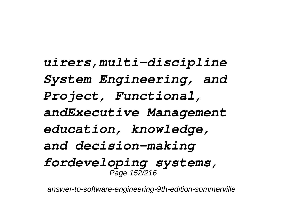*uirers,multi-discipline System Engineering, and Project, Functional, andExecutive Management education, knowledge, and decision-making fordeveloping systems,* Page 152/216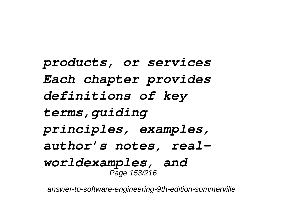*products, or services Each chapter provides definitions of key terms,guiding principles, examples, author's notes, realworldexamples, and* Page 153/216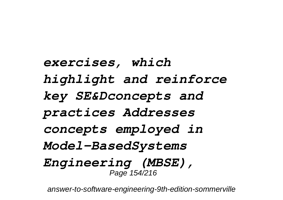*exercises, which highlight and reinforce key SE&Dconcepts and practices Addresses concepts employed in Model-BasedSystems Engineering (MBSE),* Page 154/216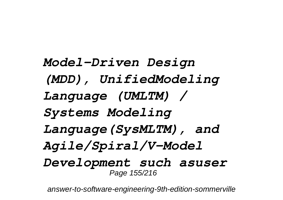*Model-Driven Design (MDD), UnifiedModeling Language (UMLTM) / Systems Modeling Language(SysMLTM), and Agile/Spiral/V-Model Development such asuser* Page 155/216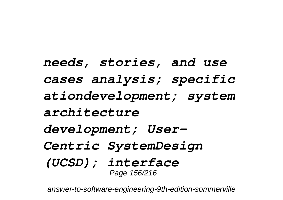*needs, stories, and use cases analysis; specific ationdevelopment; system architecture development; User-Centric SystemDesign (UCSD); interface* Page 156/216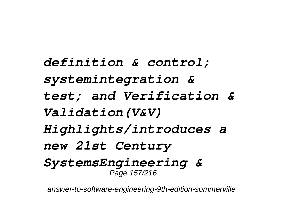*definition & control; systemintegration & test; and Verification & Validation(V&V) Highlights/introduces a new 21st Century SystemsEngineering &* Page 157/216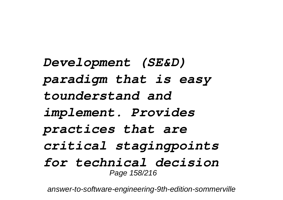*Development (SE&D) paradigm that is easy tounderstand and implement. Provides practices that are critical stagingpoints for technical decision* Page 158/216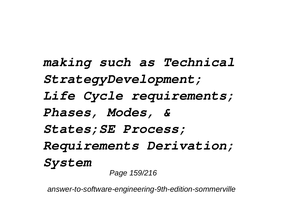*making such as Technical StrategyDevelopment; Life Cycle requirements; Phases, Modes, & States;SE Process; Requirements Derivation; System* Page 159/216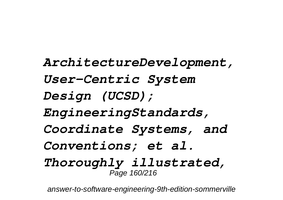*ArchitectureDevelopment, User-Centric System Design (UCSD); EngineeringStandards, Coordinate Systems, and Conventions; et al. Thoroughly illustrated,* Page 160/216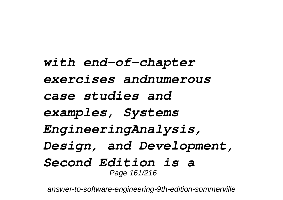*with end-of-chapter exercises andnumerous case studies and examples, Systems EngineeringAnalysis, Design, and Development, Second Edition is a* Page 161/216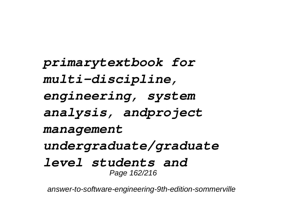*primarytextbook for multi-discipline, engineering, system analysis, andproject management undergraduate/graduate level students and* Page 162/216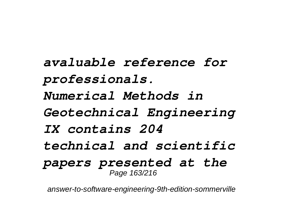*avaluable reference for professionals. Numerical Methods in Geotechnical Engineering IX contains 204 technical and scientific papers presented at the* Page 163/216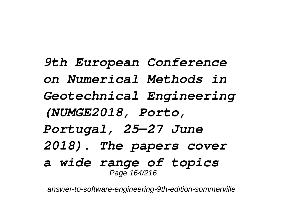*9th European Conference on Numerical Methods in Geotechnical Engineering (NUMGE2018, Porto, Portugal, 25—27 June 2018). The papers cover a wide range of topics* Page 164/216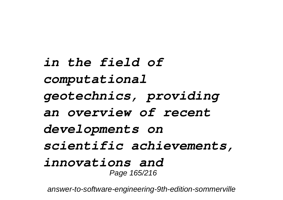*in the field of computational geotechnics, providing an overview of recent developments on scientific achievements, innovations and* Page 165/216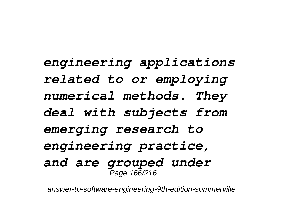*engineering applications related to or employing numerical methods. They deal with subjects from emerging research to engineering practice, and are grouped under* Page 166/216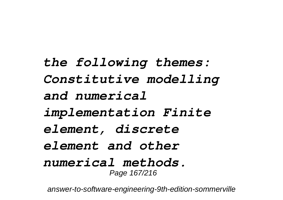*the following themes: Constitutive modelling and numerical implementation Finite element, discrete element and other numerical methods.* Page 167/216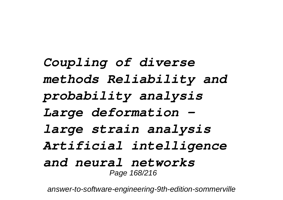*Coupling of diverse methods Reliability and probability analysis Large deformation – large strain analysis Artificial intelligence and neural networks* Page 168/216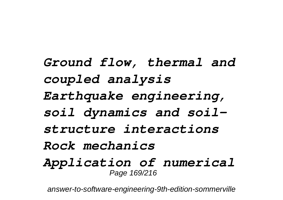*Ground flow, thermal and coupled analysis Earthquake engineering, soil dynamics and soilstructure interactions Rock mechanics Application of numerical* Page 169/216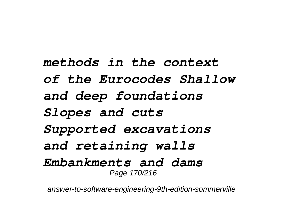*methods in the context of the Eurocodes Shallow and deep foundations Slopes and cuts Supported excavations and retaining walls Embankments and dams* Page 170/216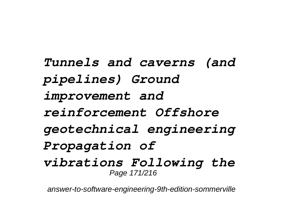*Tunnels and caverns (and pipelines) Ground improvement and reinforcement Offshore geotechnical engineering Propagation of vibrations Following the* Page 171/216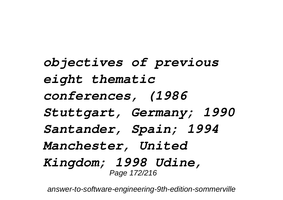*objectives of previous eight thematic conferences, (1986 Stuttgart, Germany; 1990 Santander, Spain; 1994 Manchester, United Kingdom; 1998 Udine,* Page 172/216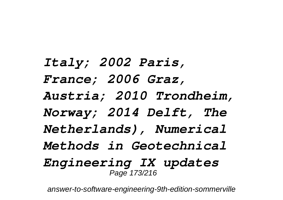*Italy; 2002 Paris, France; 2006 Graz, Austria; 2010 Trondheim, Norway; 2014 Delft, The Netherlands), Numerical Methods in Geotechnical Engineering IX updates* Page 173/216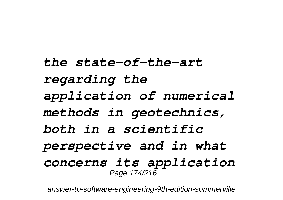*the state-of-the-art regarding the application of numerical methods in geotechnics, both in a scientific perspective and in what concerns its application* Page 174/216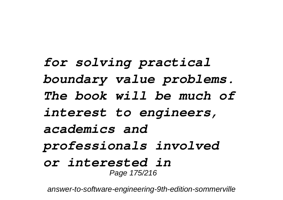*for solving practical boundary value problems. The book will be much of interest to engineers, academics and professionals involved or interested in* Page 175/216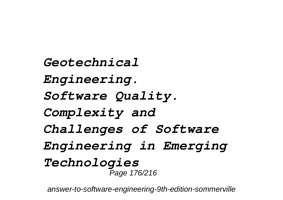*Geotechnical Engineering. Software Quality. Complexity and Challenges of Software Engineering in Emerging Technologies* Page 176/216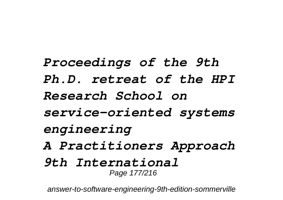*Proceedings of the 9th Ph.D. retreat of the HPI Research School on service-oriented systems engineering A Practitioners Approach 9th International* Page 177/216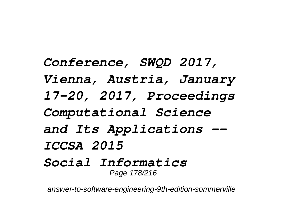*Conference, SWQD 2017, Vienna, Austria, January 17-20, 2017, Proceedings Computational Science and Its Applications -- ICCSA 2015 Social Informatics* Page 178/216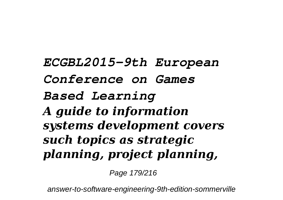*ECGBL2015-9th European Conference on Games Based Learning A guide to information systems development covers such topics as strategic planning, project planning,*

Page 179/216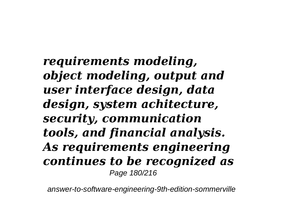*requirements modeling, object modeling, output and user interface design, data design, system achitecture, security, communication tools, and financial analysis. As requirements engineering continues to be recognized as* Page 180/216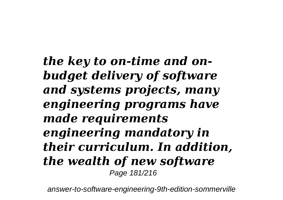*the key to on-time and onbudget delivery of software and systems projects, many engineering programs have made requirements engineering mandatory in their curriculum. In addition, the wealth of new software* Page 181/216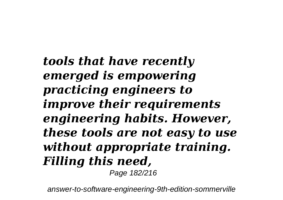*tools that have recently emerged is empowering practicing engineers to improve their requirements engineering habits. However, these tools are not easy to use without appropriate training. Filling this need,*

Page 182/216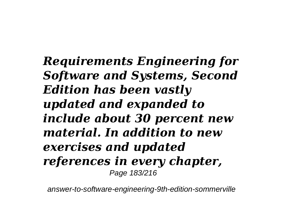*Requirements Engineering for Software and Systems, Second Edition has been vastly updated and expanded to include about 30 percent new material. In addition to new exercises and updated references in every chapter,* Page 183/216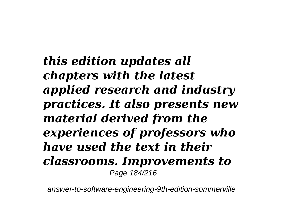*this edition updates all chapters with the latest applied research and industry practices. It also presents new material derived from the experiences of professors who have used the text in their classrooms. Improvements to* Page 184/216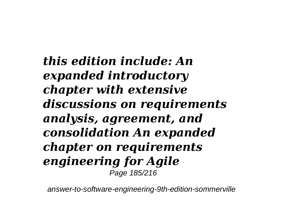*this edition include: An expanded introductory chapter with extensive discussions on requirements analysis, agreement, and consolidation An expanded chapter on requirements engineering for Agile* Page 185/216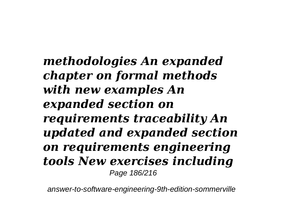*methodologies An expanded chapter on formal methods with new examples An expanded section on requirements traceability An updated and expanded section on requirements engineering tools New exercises including* Page 186/216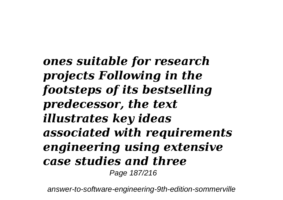*ones suitable for research projects Following in the footsteps of its bestselling predecessor, the text illustrates key ideas associated with requirements engineering using extensive case studies and three* Page 187/216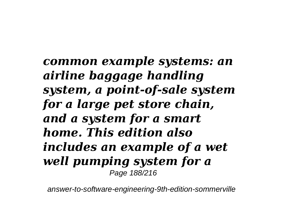*common example systems: an airline baggage handling system, a point-of-sale system for a large pet store chain, and a system for a smart home. This edition also includes an example of a wet well pumping system for a* Page 188/216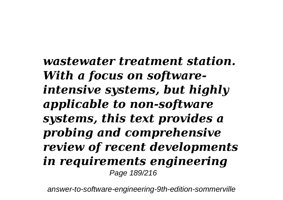*wastewater treatment station. With a focus on softwareintensive systems, but highly applicable to non-software systems, this text provides a probing and comprehensive review of recent developments in requirements engineering* Page 189/216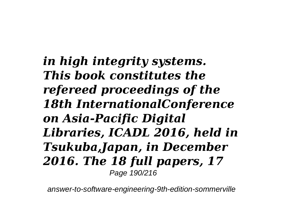*in high integrity systems. This book constitutes the refereed proceedings of the 18th InternationalConference on Asia-Pacific Digital Libraries, ICADL 2016, held in Tsukuba,Japan, in December 2016. The 18 full papers, 17* Page 190/216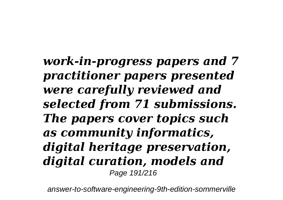*work-in-progress papers and 7 practitioner papers presented were carefully reviewed and selected from 71 submissions. The papers cover topics such as community informatics, digital heritage preservation, digital curation, models and* Page 191/216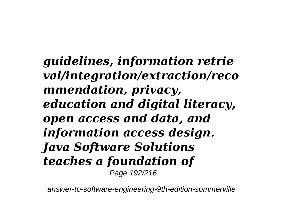*guidelines, information retrie val/integration/extraction/reco mmendation, privacy, education and digital literacy, open access and data, and information access design. Java Software Solutions teaches a foundation of* Page 192/216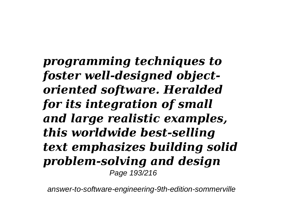*programming techniques to foster well-designed objectoriented software. Heralded for its integration of small and large realistic examples, this worldwide best-selling text emphasizes building solid problem-solving and design* Page 193/216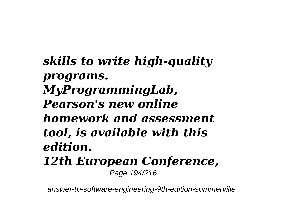*skills to write high-quality programs. MyProgrammingLab, Pearson's new online homework and assessment tool, is available with this edition. 12th European Conference,* Page 194/216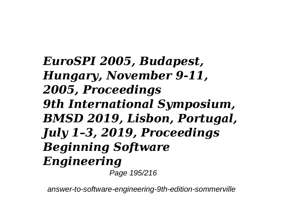*EuroSPI 2005, Budapest, Hungary, November 9-11, 2005, Proceedings 9th International Symposium, BMSD 2019, Lisbon, Portugal, July 1–3, 2019, Proceedings Beginning Software Engineering*

Page 195/216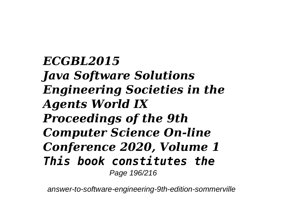*ECGBL2015 Java Software Solutions Engineering Societies in the Agents World IX Proceedings of the 9th Computer Science On-line Conference 2020, Volume 1 This book constitutes the* Page 196/216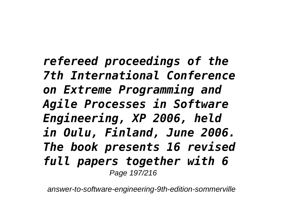*refereed proceedings of the 7th International Conference on Extreme Programming and Agile Processes in Software Engineering, XP 2006, held in Oulu, Finland, June 2006. The book presents 16 revised full papers together with 6* Page 197/216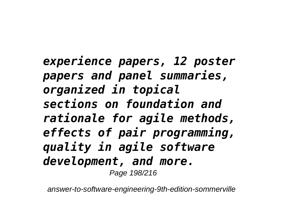*experience papers, 12 poster papers and panel summaries, organized in topical sections on foundation and rationale for agile methods, effects of pair programming, quality in agile software development, and more.* Page 198/216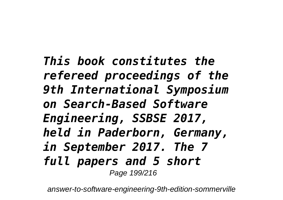*This book constitutes the refereed proceedings of the 9th International Symposium on Search-Based Software Engineering, SSBSE 2017, held in Paderborn, Germany, in September 2017. The 7 full papers and 5 short* Page 199/216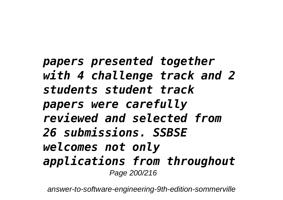*papers presented together with 4 challenge track and 2 students student track papers were carefully reviewed and selected from 26 submissions. SSBSE welcomes not only applications from throughout* Page 200/216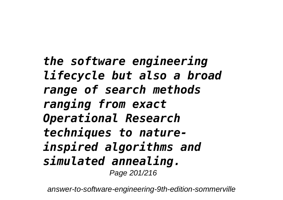*the software engineering lifecycle but also a broad range of search methods ranging from exact Operational Research techniques to natureinspired algorithms and simulated annealing.* Page 201/216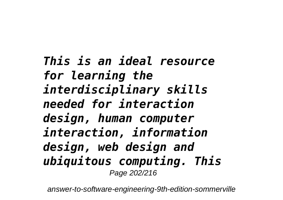*This is an ideal resource for learning the interdisciplinary skills needed for interaction design, human computer interaction, information design, web design and ubiquitous computing. This* Page 202/216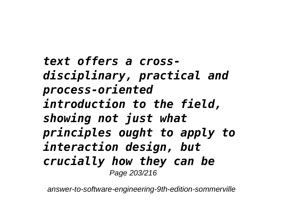*text offers a crossdisciplinary, practical and process-oriented introduction to the field, showing not just what principles ought to apply to interaction design, but crucially how they can be* Page 203/216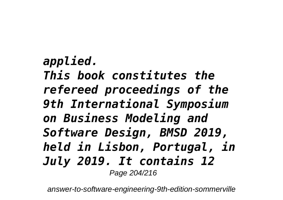*applied. This book constitutes the refereed proceedings of the 9th International Symposium on Business Modeling and Software Design, BMSD 2019, held in Lisbon, Portugal, in July 2019. It contains 12* Page 204/216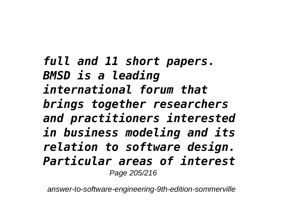*full and 11 short papers. BMSD is a leading international forum that brings together researchers and practitioners interested in business modeling and its relation to software design. Particular areas of interest* Page 205/216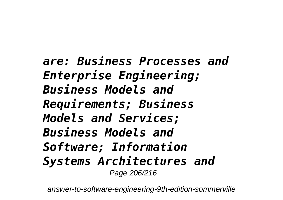*are: Business Processes and Enterprise Engineering; Business Models and Requirements; Business Models and Services; Business Models and Software; Information Systems Architectures and* Page 206/216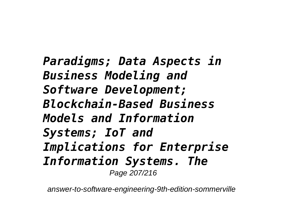*Paradigms; Data Aspects in Business Modeling and Software Development; Blockchain-Based Business Models and Information Systems; IoT and Implications for Enterprise Information Systems. The* Page 207/216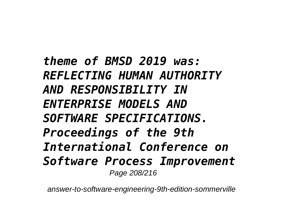*theme of BMSD 2019 was: REFLECTING HUMAN AUTHORITY AND RESPONSIBILITY IN ENTERPRISE MODELS AND SOFTWARE SPECIFICATIONS. Proceedings of the 9th International Conference on Software Process Improvement* Page 208/216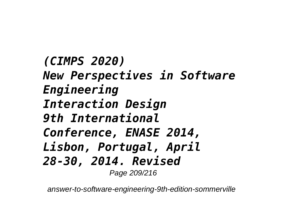*(CIMPS 2020) New Perspectives in Software Engineering Interaction Design 9th International Conference, ENASE 2014, Lisbon, Portugal, April 28-30, 2014. Revised* Page 209/216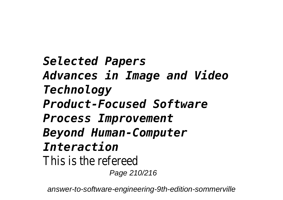*Selected Papers Advances in Image and Video Technology Product-Focused Software Process Improvement Beyond Human-Computer Interaction* This is the refereed Page 210/216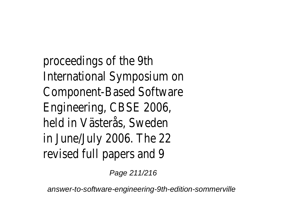proceedings of the 9th International Symposium on Component-Based Software Engineering, CBSE 2006, held in Västerås, Sweden in June/July 2006. The 22 revised full papers and 9

Page 211/216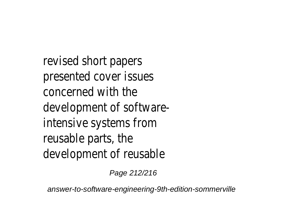revised short papers presented cover issues concerned with the development of softwareintensive systems from reusable parts, the development of reusable

Page 212/216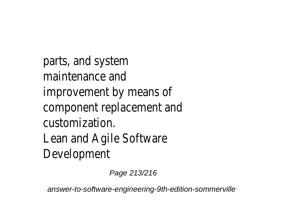parts, and system maintenance and improvement by means of component replacement and customization. Lean and Agile Software Development

Page 213/216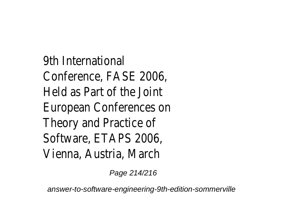9th International Conference, FASE 2006, Held as Part of the Joint European Conferences on Theory and Practice of Software, ETAPS 2006 Vienna, Austria, March

Page 214/216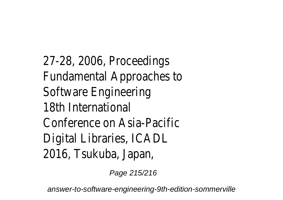27-28, 2006, Proceedings Fundamental Approaches to Software Engineering 18th International Conference on Asia-Pacific Digital Libraries, ICADL 2016, Tsukuba, Japan,

Page 215/216